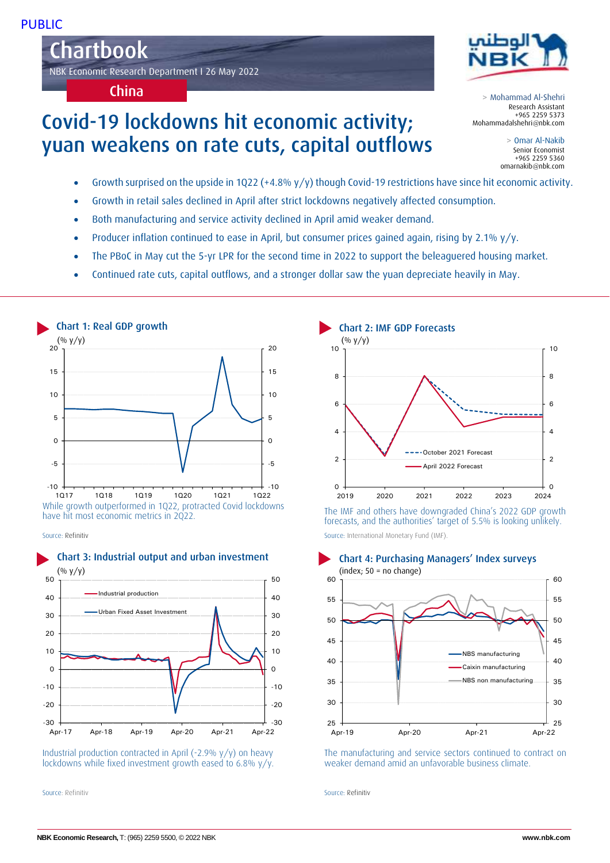Chartbok Chartbook NBK Economic Research Department I 26 May 2022

China

# Covid-19 lockdowns hit economic activity; yuan weakens on rate cuts, capital outflows



> Mohammad Al-Shehri Research Assistant +965 2259 5373 Mohammadalshehri@nbk.com

> > Omar Al-Nakib Senior Economist +965 2259 5360 omarnakib@nbk.com

- Growth surprised on the upside in 1Q22 (+4.8% y/y) though Covid-19 restrictions have since hit economic activity.
- Growth in retail sales declined in April after strict lockdowns negatively affected consumption.
- Both manufacturing and service activity declined in April amid weaker demand.
- Producer inflation continued to ease in April, but consumer prices gained again, rising by 2.1% y/y.
- The PBoC in May cut the 5-yr LPR for the second time in 2022 to support the beleaguered housing market.
- Continued rate cuts, capital outflows, and a stronger dollar saw the yuan depreciate heavily in May.



While growth outperformed in 1Q22, protracted Covid lockdowns have hit most economic metrics in 2Q22.

Source: Refinitiv



Industrial production contracted in April (-2.9% y/y) on heavy lockdowns while fixed investment growth eased to 6.8% y/y.

Source: Refinitiv Source: Refinitiv



The IMF and others have downgraded China's 2022 GDP growth forecasts, and the authorities' target of 5.5% is looking unlikely. Source: International Monetary Fund (IMF).



The manufacturing and service sectors continued to contract on weaker demand amid an unfavorable business climate.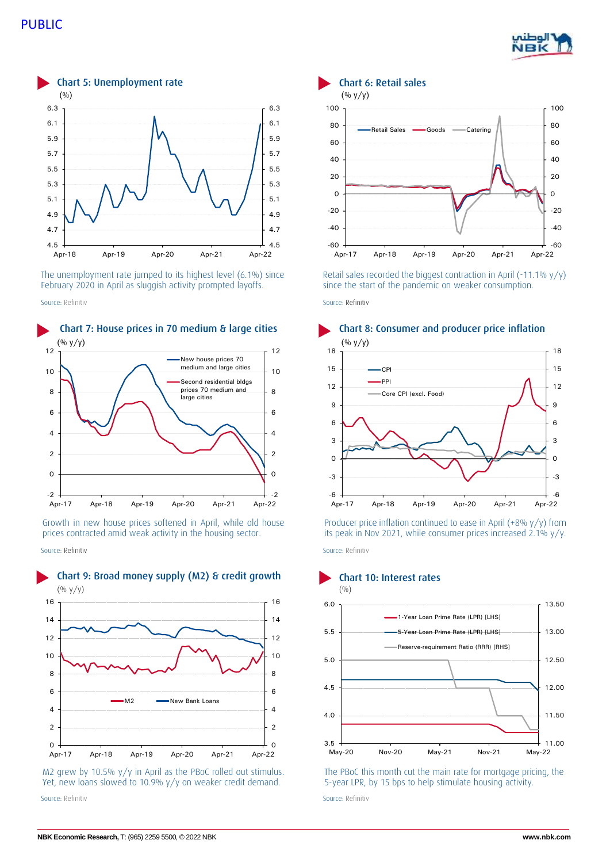



The unemployment rate jumped to its highest level (6.1%) since February 2020 in April as sluggish activity prompted layoffs.



Growth in new house prices softened in April, while old house prices contracted amid weak activity in the housing sector.

Source: Refinitiv Source: Refinitiv



M2 grew by 10.5% y/y in April as the PBoC rolled out stimulus. Yet, new loans slowed to 10.9% y/y on weaker credit demand. Source: Refinitiv Source: Refinitiv



Retail sales recorded the biggest contraction in April (-11.1%  $y/y$ ) since the start of the pandemic on weaker consumption.

Source: Refinitiv Source: Refinitiv Source: Refinitiv Source: Refinitiv Source: Refinitiv



Producer price inflation continued to ease in April (+8% y/y) from its peak in Nov 2021, while consumer prices increased 2.1% y/y.



The PBoC this month cut the main rate for mortgage pricing, the 5-year LPR, by 15 bps to help stimulate housing activity.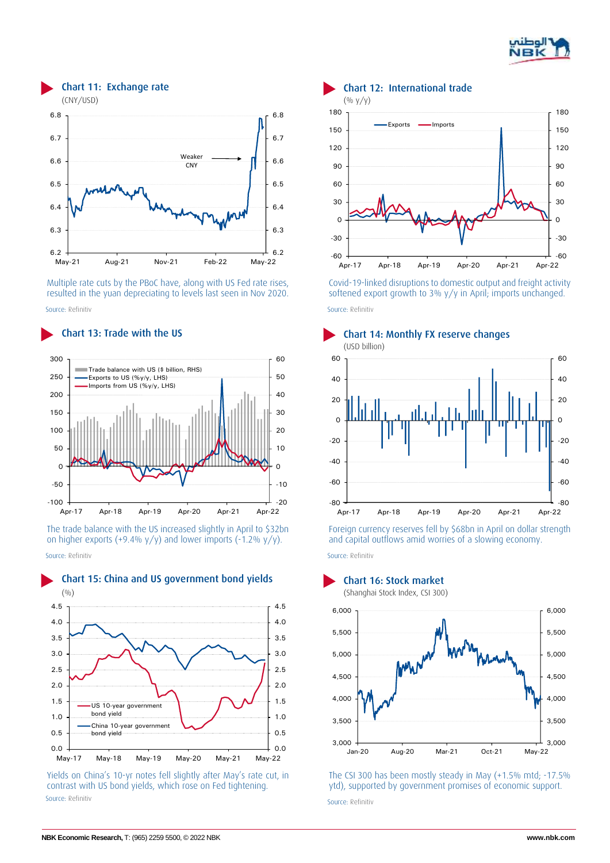



Multiple rate cuts by the PBoC have, along with US Fed rate rises, resulted in the yuan depreciating to levels last seen in Nov 2020. Source: Refinitiv Source: Refinitiv



The trade balance with the US increased slightly in April to \$32bn on higher exports (+9.4%  $y/y$ ) and lower imports (-1.2%  $y/y$ ). Source: Refinitiv Source: Refinitiv



Yields on China's 10-yr notes fell slightly after May's rate cut, in contrast with US bond yields, which rose on Fed tightening. Source: Refinitiv Source: Refinitiv



Covid-19-linked disruptions to domestic output and freight activity softened export growth to 3% y/y in April; imports unchanged.





Foreign currency reserves fell by \$68bn in April on dollar strength and capital outflows amid worries of a slowing economy.

Chart 15: China and US government bond yields Chart 16: Stock market



The CSI 300 has been mostly steady in May (+1.5% mtd; -17.5% ytd), supported by government promises of economic support.